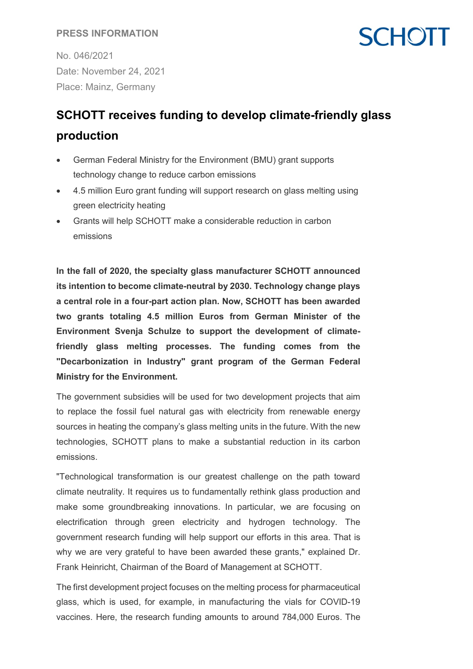### **PRESS INFORMATION**

**SCHOTT** 

No. 046/2021 Date: November 24, 2021 Place: Mainz, Germany

## **SCHOTT receives funding to develop climate-friendly glass production**

- German Federal Ministry for the Environment (BMU) grant supports technology change to reduce carbon emissions
- 4.5 million Euro grant funding will support research on glass melting using green electricity heating
- Grants will help SCHOTT make a considerable reduction in carbon emissions

**In the fall of 2020, the specialty glass manufacturer SCHOTT announced its intention to become climate-neutral by 2030. Technology change plays a central role in a four-part action plan. Now, SCHOTT has been awarded two grants totaling 4.5 million Euros from German Minister of the Environment Svenja Schulze to support the development of climatefriendly glass melting processes. The funding comes from the "Decarbonization in Industry" grant program of the German Federal Ministry for the Environment.**

The government subsidies will be used for two development projects that aim to replace the fossil fuel natural gas with electricity from renewable energy sources in heating the company's glass melting units in the future. With the new technologies, SCHOTT plans to make a substantial reduction in its carbon emissions.

"Technological transformation is our greatest challenge on the path toward climate neutrality. It requires us to fundamentally rethink glass production and make some groundbreaking innovations. In particular, we are focusing on electrification through green electricity and hydrogen technology. The government research funding will help support our efforts in this area. That is why we are very grateful to have been awarded these grants," explained Dr. Frank Heinricht, Chairman of the Board of Management at SCHOTT.

The first development project focuses on the melting process for pharmaceutical glass, which is used, for example, in manufacturing the vials for COVID-19 vaccines. Here, the research funding amounts to around 784,000 Euros. The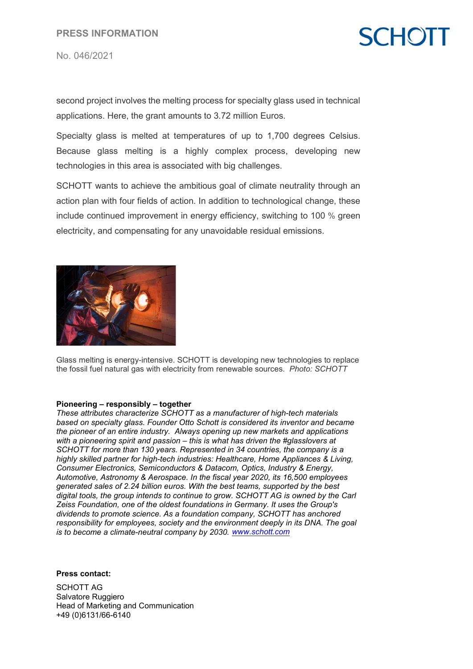#### No. 046/2021

# **SCHOT**

second project involves the melting process for specialty glass used in technical applications. Here, the grant amounts to 3.72 million Euros.

Specialty glass is melted at temperatures of up to 1,700 degrees Celsius. Because glass melting is a highly complex process, developing new technologies in this area is associated with big challenges.

SCHOTT wants to achieve the ambitious goal of climate neutrality through an action plan with four fields of action. In addition to technological change, these include continued improvement in energy efficiency, switching to 100 % green electricity, and compensating for any unavoidable residual emissions.



Glass melting is energy-intensive. SCHOTT is developing new technologies to replace the fossil fuel natural gas with electricity from renewable sources. *Photo: SCHOTT*

#### **Pioneering – responsibly – together**

*These attributes characterize SCHOTT as a manufacturer of high-tech materials based on specialty glass. Founder Otto Schott is considered its inventor and became the pioneer of an entire industry. Always opening up new markets and applications with a pioneering spirit and passion – this is what has driven the #glasslovers at SCHOTT for more than 130 years. Represented in 34 countries, the company is a highly skilled partner for high-tech industries: Healthcare, Home Appliances & Living, Consumer Electronics, Semiconductors & Datacom, Optics, Industry & Energy, Automotive, Astronomy & Aerospace. In the fiscal year 2020, its 16,500 employees generated sales of 2.24 billion euros. With the best teams, supported by the best digital tools, the group intends to continue to grow. SCHOTT AG is owned by the Carl Zeiss Foundation, one of the oldest foundations in Germany. It uses the Group's dividends to promote science. As a foundation company, SCHOTT has anchored responsibility for employees, society and the environment deeply in its DNA. The goal is to become a climate-neutral company by 2030. [www.schott.com](http://www.schott.com/)*

**Press contact:**

SCHOTT AG Salvatore Ruggiero Head of Marketing and Communication +49 (0)6131/66-6140